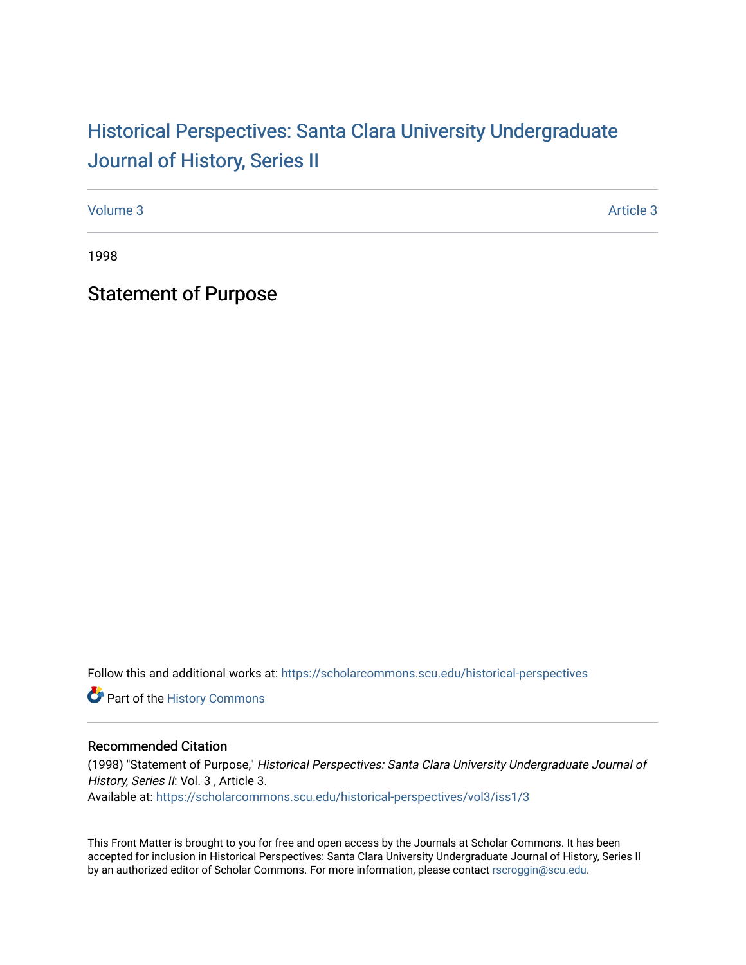# Historical Perspectiv[es: Santa Clara University Under](https://scholarcommons.scu.edu/historical-perspectives)graduate [Journal of History, Series II](https://scholarcommons.scu.edu/historical-perspectives)

[Volume 3](https://scholarcommons.scu.edu/historical-perspectives/vol3) Article 3

1998

Statement of Purpose

Follow this and additional works at: [https://scholarcommons.scu.edu/historical-perspectives](https://scholarcommons.scu.edu/historical-perspectives?utm_source=scholarcommons.scu.edu%2Fhistorical-perspectives%2Fvol3%2Fiss1%2F3&utm_medium=PDF&utm_campaign=PDFCoverPages) 

Part of the [History Commons](http://network.bepress.com/hgg/discipline/489?utm_source=scholarcommons.scu.edu%2Fhistorical-perspectives%2Fvol3%2Fiss1%2F3&utm_medium=PDF&utm_campaign=PDFCoverPages) 

#### Recommended Citation

(1998) "Statement of Purpose," Historical Perspectives: Santa Clara University Undergraduate Journal of History, Series II: Vol. 3, Article 3. Available at: [https://scholarcommons.scu.edu/historical-perspectives/vol3/iss1/3](https://scholarcommons.scu.edu/historical-perspectives/vol3/iss1/3?utm_source=scholarcommons.scu.edu%2Fhistorical-perspectives%2Fvol3%2Fiss1%2F3&utm_medium=PDF&utm_campaign=PDFCoverPages) 

This Front Matter is brought to you for free and open access by the Journals at Scholar Commons. It has been accepted for inclusion in Historical Perspectives: Santa Clara University Undergraduate Journal of History, Series II by an authorized editor of Scholar Commons. For more information, please contact [rscroggin@scu.edu.](mailto:rscroggin@scu.edu)